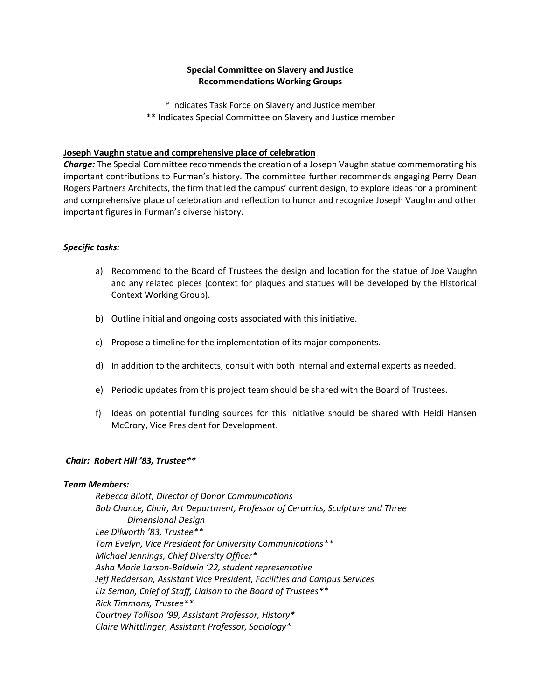# **Special Committee on Slavery and Justice Recommendations Working Groups**

\* Indicates Task Force on Slavery and Justice member \*\* Indicates Special Committee on Slavery and Justice member

## **Joseph Vaughn statue and comprehensive place of celebration**

*Charge:* The Special Committee recommends the creation of a Joseph Vaughn statue commemorating his important contributions to Furman's history. The committee further recommends engaging Perry Dean Rogers Partners Architects, the firm that led the campus' current design, to explore ideas for a prominent and comprehensive place of celebration and reflection to honor and recognize Joseph Vaughn and other important figures in Furman's diverse history.

## *Specific tasks:*

- a) Recommend to the Board of Trustees the design and location for the statue of Joe Vaughn and any related pieces (context for plaques and statues will be developed by the Historical Context Working Group).
- b) Outline initial and ongoing costs associated with this initiative.
- c) Propose a timeline for the implementation of its major components.
- d) In addition to the architects, consult with both internal and external experts as needed.
- e) Periodic updates from this project team should be shared with the Board of Trustees.
- f) Ideas on potential funding sources for this initiative should be shared with Heidi Hansen McCrory, Vice President for Development.

#### *Chair: Robert Hill '83, Trustee\*\**

## *Team Members:*

*Rebecca Bilott, Director of Donor Communications Bob Chance, Chair, Art Department, Professor of Ceramics, Sculpture and Three Dimensional Design Lee Dilworth '83, Trustee\*\* Tom Evelyn, Vice President for University Communications\*\* Michael Jennings, Chief Diversity Officer\* Asha Marie Larson-Baldwin '22, student representative Jeff Redderson, Assistant Vice President, Facilities and Campus Services Liz Seman, Chief of Staff, Liaison to the Board of Trustees\*\* Rick Timmons, Trustee\*\* Courtney Tollison '99, Assistant Professor, History\* Claire Whittlinger, Assistant Professor, Sociology\**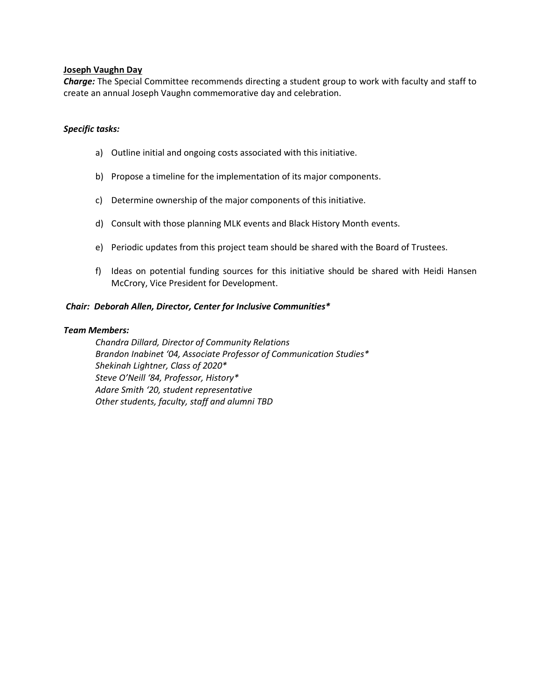## **Joseph Vaughn Day**

*Charge:* The Special Committee recommends directing a student group to work with faculty and staff to create an annual Joseph Vaughn commemorative day and celebration.

## *Specific tasks:*

- a) Outline initial and ongoing costs associated with this initiative.
- b) Propose a timeline for the implementation of its major components.
- c) Determine ownership of the major components of this initiative.
- d) Consult with those planning MLK events and Black History Month events.
- e) Periodic updates from this project team should be shared with the Board of Trustees.
- f) Ideas on potential funding sources for this initiative should be shared with Heidi Hansen McCrory, Vice President for Development.

## *Chair: Deborah Allen, Director, Center for Inclusive Communities\**

#### *Team Members:*

*Chandra Dillard, Director of Community Relations Brandon Inabinet '04, Associate Professor of Communication Studies\* Shekinah Lightner, Class of 2020\* Steve O'Neill '84, Professor, History\* Adare Smith '20, student representative Other students, faculty, staff and alumni TBD*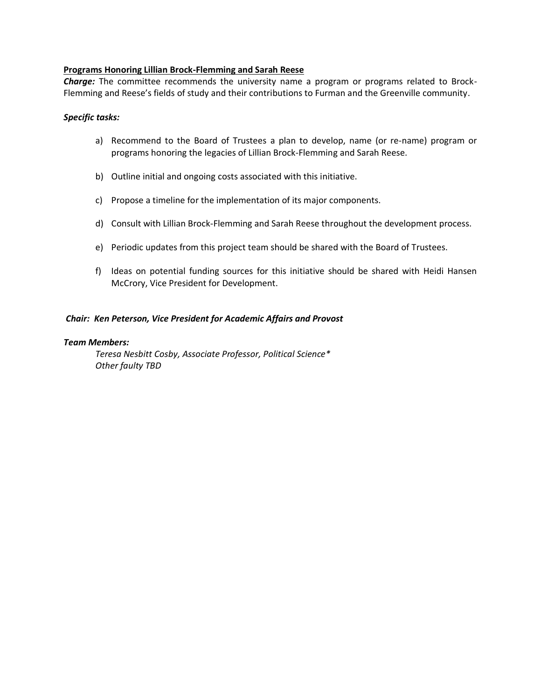# **Programs Honoring Lillian Brock-Flemming and Sarah Reese**

*Charge:* The committee recommends the university name a program or programs related to Brock-Flemming and Reese's fields of study and their contributions to Furman and the Greenville community.

#### *Specific tasks:*

- a) Recommend to the Board of Trustees a plan to develop, name (or re-name) program or programs honoring the legacies of Lillian Brock-Flemming and Sarah Reese.
- b) Outline initial and ongoing costs associated with this initiative.
- c) Propose a timeline for the implementation of its major components.
- d) Consult with Lillian Brock-Flemming and Sarah Reese throughout the development process.
- e) Periodic updates from this project team should be shared with the Board of Trustees.
- f) Ideas on potential funding sources for this initiative should be shared with Heidi Hansen McCrory, Vice President for Development.

## *Chair: Ken Peterson, Vice President for Academic Affairs and Provost*

#### *Team Members:*

*Teresa Nesbitt Cosby, Associate Professor, Political Science\* Other faulty TBD*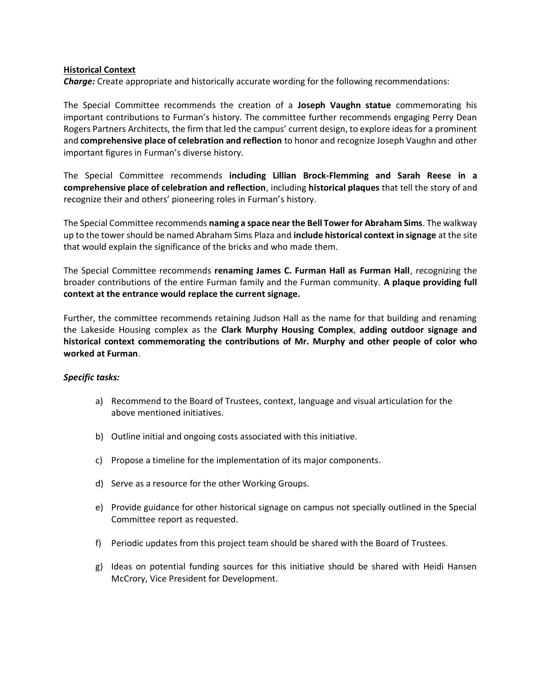## **Historical Context**

*Charge:* Create appropriate and historically accurate wording for the following recommendations:

The Special Committee recommends the creation of a **Joseph Vaughn statue** commemorating his important contributions to Furman's history. The committee further recommends engaging Perry Dean Rogers Partners Architects, the firm that led the campus' current design, to explore ideas for a prominent and **comprehensive place of celebration and reflection** to honor and recognize Joseph Vaughn and other important figures in Furman's diverse history.

The Special Committee recommends **including Lillian Brock-Flemming and Sarah Reese in a comprehensive place of celebration and reflection**, including **historical plaques** that tell the story of and recognize their and others' pioneering roles in Furman's history.

The Special Committee recommends **naming a space near the Bell Tower for Abraham Sims**. The walkway up to the tower should be named Abraham Sims Plaza and **include historical context in signage** at the site that would explain the significance of the bricks and who made them.

The Special Committee recommends **renaming James C. Furman Hall as Furman Hall**, recognizing the broader contributions of the entire Furman family and the Furman community. **A plaque providing full context at the entrance would replace the current signage.** 

Further, the committee recommends retaining Judson Hall as the name for that building and renaming the Lakeside Housing complex as the **Clark Murphy Housing Complex**, **adding outdoor signage and historical context commemorating the contributions of Mr. Murphy and other people of color who worked at Furman**.

# *Specific tasks:*

- a) Recommend to the Board of Trustees, context, language and visual articulation for the above mentioned initiatives.
- b) Outline initial and ongoing costs associated with this initiative.
- c) Propose a timeline for the implementation of its major components.
- d) Serve as a resource for the other Working Groups.
- e) Provide guidance for other historical signage on campus not specially outlined in the Special Committee report as requested.
- f) Periodic updates from this project team should be shared with the Board of Trustees.
- g) Ideas on potential funding sources for this initiative should be shared with Heidi Hansen McCrory, Vice President for Development.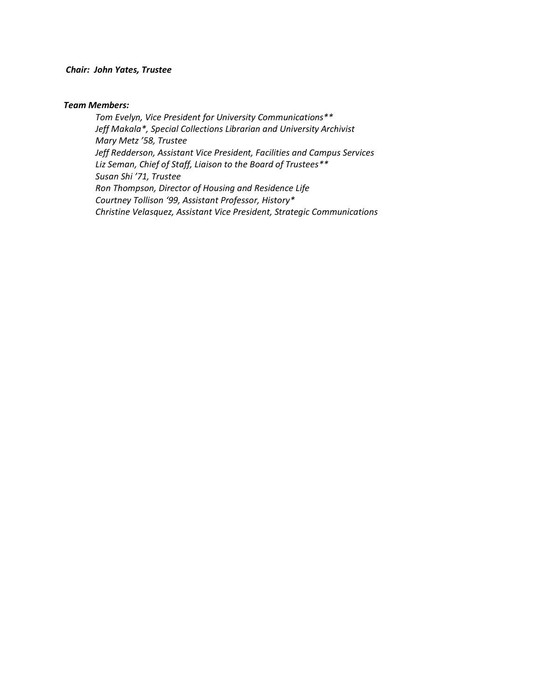## *Chair: John Yates, Trustee*

#### *Team Members:*

*Tom Evelyn, Vice President for University Communications\*\* Jeff Makala\*, Special Collections Librarian and University Archivist Mary Metz '58, Trustee Jeff Redderson, Assistant Vice President, Facilities and Campus Services Liz Seman, Chief of Staff, Liaison to the Board of Trustees\*\* Susan Shi '71, Trustee Ron Thompson, Director of Housing and Residence Life Courtney Tollison '99, Assistant Professor, History\* Christine Velasquez, Assistant Vice President, Strategic Communications*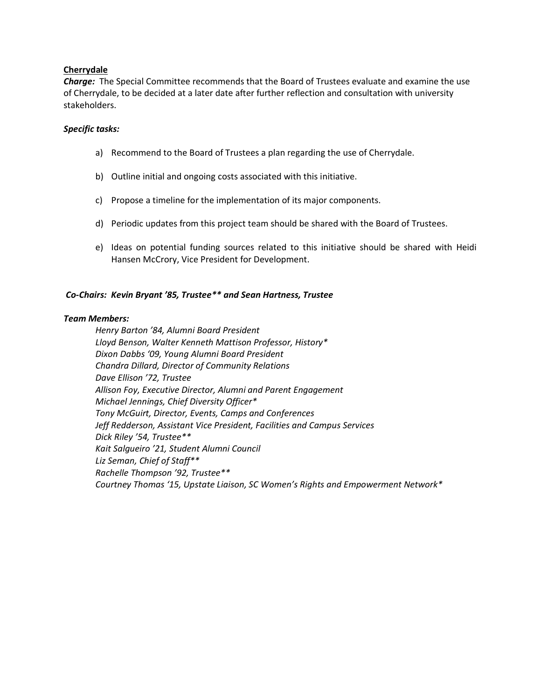# **Cherrydale**

*Charge:* The Special Committee recommends that the Board of Trustees evaluate and examine the use of Cherrydale, to be decided at a later date after further reflection and consultation with university stakeholders.

#### *Specific tasks:*

- a) Recommend to the Board of Trustees a plan regarding the use of Cherrydale.
- b) Outline initial and ongoing costs associated with this initiative.
- c) Propose a timeline for the implementation of its major components.
- d) Periodic updates from this project team should be shared with the Board of Trustees.
- e) Ideas on potential funding sources related to this initiative should be shared with Heidi Hansen McCrory, Vice President for Development.

## *Co-Chairs: Kevin Bryant '85, Trustee\*\* and Sean Hartness, Trustee*

#### *Team Members:*

*Henry Barton '84, Alumni Board President Lloyd Benson, Walter Kenneth Mattison Professor, History\* Dixon Dabbs '09, Young Alumni Board President Chandra Dillard, Director of Community Relations Dave Ellison '72, Trustee Allison Foy, Executive Director, Alumni and Parent Engagement Michael Jennings, Chief Diversity Officer\* Tony McGuirt, Director, Events, Camps and Conferences Jeff Redderson, Assistant Vice President, Facilities and Campus Services Dick Riley '54, Trustee\*\* Kait Salgueiro '21, Student Alumni Council Liz Seman, Chief of Staff\*\* Rachelle Thompson '92, Trustee\*\* Courtney Thomas '15, Upstate Liaison, SC Women's Rights and Empowerment Network\**